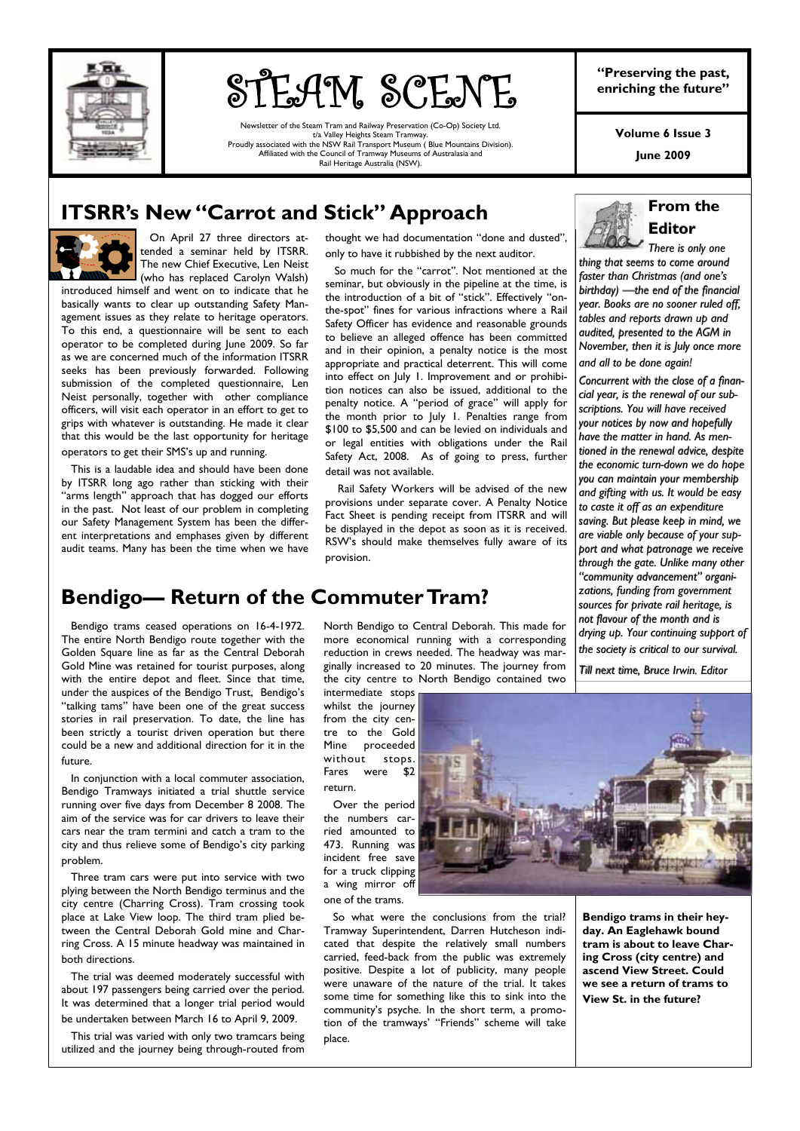

# **STEAM SCENE** Preserving the past,

Newsletter of the Steam Tram and Railway Preservation (Co-Op) Society Ltd. t/a Valley Heights Steam Tramway. Proudly associated with the NSW Rail Transport Museum ( Blue Mountains Division). Affiliated with the Council of Tramway Museums of Australasia and Rail Heritage Australia (NSW).

**"Preserving the past,** 

**Volume 6 Issue 3** 

**June 2009** 

### **ITSRR's New "Carrot and Stick" Approach**



 On April 27 three directors attended a seminar held by ITSRR. The new Chief Executive, Len Neist (who has replaced Carolyn Walsh)

introduced himself and went on to indicate that he basically wants to clear up outstanding Safety Management issues as they relate to heritage operators. To this end, a questionnaire will be sent to each operator to be completed during June 2009. So far as we are concerned much of the information ITSRR seeks has been previously forwarded. Following submission of the completed questionnaire, Len Neist personally, together with other compliance officers, will visit each operator in an effort to get to grips with whatever is outstanding. He made it clear that this would be the last opportunity for heritage operators to get their SMS's up and running.

 This is a laudable idea and should have been done by ITSRR long ago rather than sticking with their "arms length" approach that has dogged our efforts in the past. Not least of our problem in completing our Safety Management System has been the different interpretations and emphases given by different audit teams. Many has been the time when we have thought we had documentation "done and dusted", only to have it rubbished by the next auditor.

 So much for the "carrot". Not mentioned at the seminar, but obviously in the pipeline at the time, is the introduction of a bit of "stick". Effectively "onthe-spot" fines for various infractions where a Rail Safety Officer has evidence and reasonable grounds to believe an alleged offence has been committed and in their opinion, a penalty notice is the most appropriate and practical deterrent. This will come into effect on July 1. Improvement and or prohibition notices can also be issued, additional to the penalty notice. A "period of grace" will apply for the month prior to July 1. Penalties range from \$100 to \$5,500 and can be levied on individuals and or legal entities with obligations under the Rail Safety Act, 2008. As of going to press, further detail was not available.

 Rail Safety Workers will be advised of the new provisions under separate cover. A Penalty Notice Fact Sheet is pending receipt from ITSRR and will be displayed in the depot as soon as it is received. RSW's should make themselves fully aware of its provision.

### **From the Editor**

*There is only one There is only one*  thing that seems to come around *faster than Christmas (and one's faster than Christmas (and one's*  birthday) —the end of the financial *year. Books are no sooner ruled off, year. Books are no sooner ruled off,*  ,<br>tables and reports drawn up and *audited, presented to the AGM in audited, presented the AGM in November, then it is July once more November, then it is July once more and all to be done again! all to be again!*

*Concurrent with the close of a finan- close with the close of a financial year, is the renewal of our sub- cial year, is the renewal of our sub-is subscriptions. You will have received scriptions. You your notices by now and hopefully your notices by now and hopefully have the matter in hand. As men- matter in As men-have the matter hand. As mentioned in the renewal advice, despite tioned in the renewal advice, despite the economic turn-down we do hope you can maintain your membership can maintain your membership and gifting with us. It would be easy and gifting with us. It would be easy to caste it off as an expenditure it off*  saving. But please keep in mind, we *are viable only because of your sup- because of your sup- are viable support and what patronage we receive port and what patronage we receive through the gate. Unlike many other through the gate. Unlike many other "community advancement" organi- organizations, funding from government zations, funding from government*  sources for private rail heritage, is *not flavour of the month and is not flavour of the month and is drying up. Your continuing support of drying up. Your continuing support of the society is critical to our survival. the society is critical to our survival.*

*Till next time, Bru Till next time, Bruce Irwin. Editor ce Irwin. Editor*

### **Bendigo— Return of the Commuter Tram?**

 Bendigo trams ceased operations on 16-4-1972. The entire North Bendigo route together with the Golden Square line as far as the Central Deborah Gold Mine was retained for tourist purposes, along with the entire depot and fleet. Since that time, under the auspices of the Bendigo Trust, Bendigo's "talking tams" have been one of the great success stories in rail preservation. To date, the line has been strictly a tourist driven operation but there could be a new and additional direction for it in the future.

 In conjunction with a local commuter association, Bendigo Tramways initiated a trial shuttle service running over five days from December 8 2008. The aim of the service was for car drivers to leave their cars near the tram termini and catch a tram to the city and thus relieve some of Bendigo's city parking problem.

 Three tram cars were put into service with two plying between the North Bendigo terminus and the city centre (Charring Cross). Tram crossing took place at Lake View loop. The third tram plied between the Central Deborah Gold mine and Charring Cross. A 15 minute headway was maintained in both directions.

 The trial was deemed moderately successful with about 197 passengers being carried over the period. It was determined that a longer trial period would be undertaken between March 16 to April 9, 2009.

 This trial was varied with only two tramcars being utilized and the journey being through-routed from

North Bendigo to Central Deborah. This made for more economical running with a corresponding reduction in crews needed. The headway was marginally increased to 20 minutes. The journey from the city centre to North Bendigo contained two

intermediate stops whilst the journey from the city centre to the Gold Mine proceeded without stops. Fares were \$2 return.

 Over the period the numbers carried amounted to 473. Running was incident free save for a truck clipping a wing mirror off one of the trams.



 So what were the conclusions from the trial? Tramway Superintendent, Darren Hutcheson indicated that despite the relatively small numbers carried, feed-back from the public was extremely positive. Despite a lot of publicity, many people were unaware of the nature of the trial. It takes some time for something like this to sink into the community's psyche. In the short term, a promotion of the tramways' "Friends" scheme will take place.

**Bendigo trams in their heyday. An Eaglehawk bound tram is about to leave Charing Cross (city centre) and ascend View Street. Could we see a return of trams to View St. in the future?**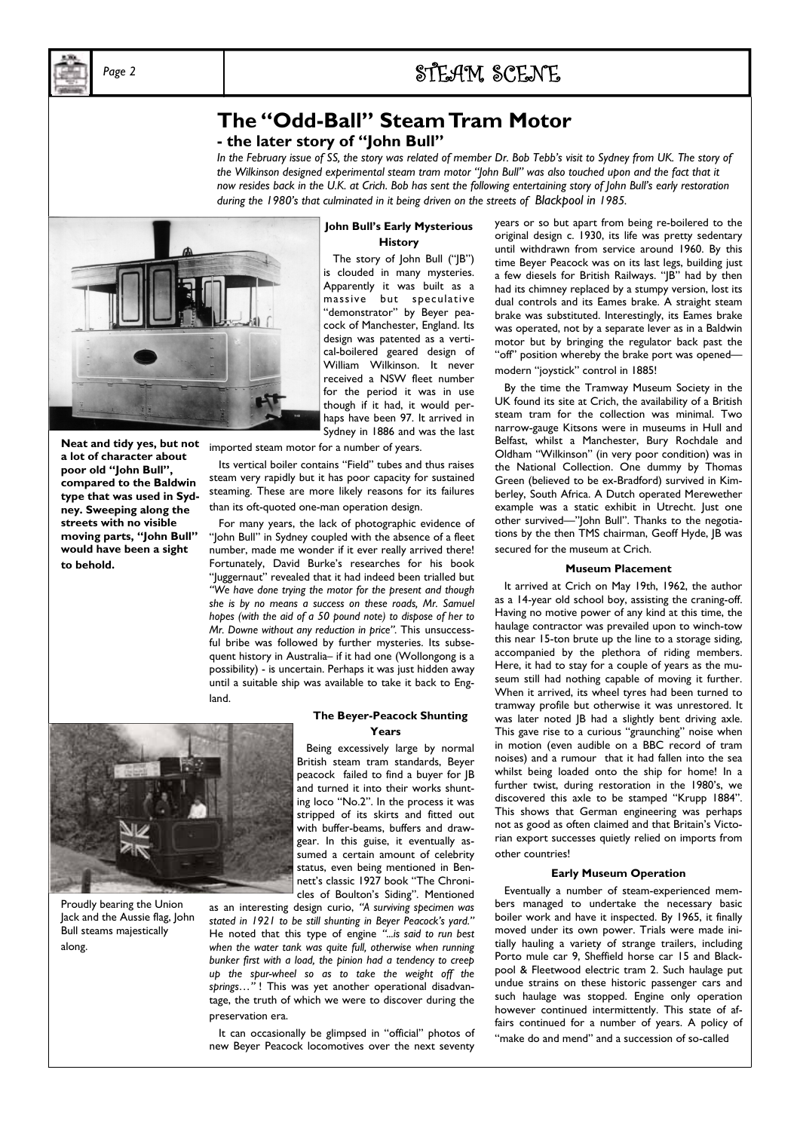

### *Page 2* STEAM SCENE

### **The "Odd-Ball" Steam Tram Motor - the later story of "John Bull"**

*In the February issue of SS, the story was related of member Dr. Bob Tebb's visit to Sydney from UK. The story of the Wilkinson designed experimental steam tram motor "John Bull" was also touched upon and the fact that it now resides back in the U.K. at Crich. Bob has sent the following entertaining story of John Bull's early restoration during the 1980's that culminated in it being driven on the streets of Blackpool in 1985.* 



**Neat and tidy yes, but not a lot of character about poor old "John Bull", compared to the Baldwin type that was used in Sydney. Sweeping along the streets with no visible moving parts, "John Bull" would have been a sight to behold.** 

**John Bull's Early Mysterious History** 

 The story of John Bull ("JB") is clouded in many mysteries. Apparently it was built as a massive but speculative "demonstrator" by Beyer peacock of Manchester, England. Its design was patented as a vertical-boilered geared design of William Wilkinson. It never received a NSW fleet number for the period it was in use though if it had, it would perhaps have been 97. It arrived in Sydney in 1886 and was the last

imported steam motor for a number of years.

 Its vertical boiler contains "Field" tubes and thus raises steam very rapidly but it has poor capacity for sustained steaming. These are more likely reasons for its failures than its oft-quoted one-man operation design.

 For many years, the lack of photographic evidence of "John Bull" in Sydney coupled with the absence of a fleet number, made me wonder if it ever really arrived there! Fortunately, David Burke's researches for his book "Juggernaut" revealed that it had indeed been trialled but *"We have done trying the motor for the present and though she is by no means a success on these roads, Mr. Samuel hopes (with the aid of a 50 pound note) to dispose of her to Mr. Downe without any reduction in price".* This unsuccessful bribe was followed by further mysteries. Its subsequent history in Australia– if it had one (Wollongong is a possibility) - is uncertain. Perhaps it was just hidden away until a suitable ship was available to take it back to England.



Proudly bearing the Union Jack and the Aussie flag, John Bull steams majestically along.

#### **The Beyer-Peacock Shunting Years**

 Being excessively large by normal British steam tram standards, Beyer peacock failed to find a buyer for JB and turned it into their works shunting loco "No.2". In the process it was stripped of its skirts and fitted out with buffer-beams, buffers and drawgear. In this guise, it eventually assumed a certain amount of celebrity status, even being mentioned in Bennett's classic 1927 book "The Chronicles of Boulton's Siding". Mentioned

as an interesting design curio, *"A surviving specimen was stated in 1921 to be still shunting in Beyer Peacock's yard."*  He noted that this type of engine *"...is said to run best when the water tank was quite full, otherwise when running bunker first with a load, the pinion had a tendency to creep up the spur-wheel so as to take the weight off the springs…"* ! This was yet another operational disadvantage, the truth of which we were to discover during the preservation era.

 It can occasionally be glimpsed in "official" photos of new Beyer Peacock locomotives over the next seventy

years or so but apart from being re-boilered to the original design c. 1930, its life was pretty sedentary until withdrawn from service around 1960. By this time Beyer Peacock was on its last legs, building just a few diesels for British Railways. "JB" had by then had its chimney replaced by a stumpy version, lost its dual controls and its Eames brake. A straight steam brake was substituted. Interestingly, its Eames brake was operated, not by a separate lever as in a Baldwin motor but by bringing the regulator back past the "off" position whereby the brake port was opened modern "joystick" control in 1885!

 By the time the Tramway Museum Society in the UK found its site at Crich, the availability of a British steam tram for the collection was minimal. Two narrow-gauge Kitsons were in museums in Hull and Belfast, whilst a Manchester, Bury Rochdale and Oldham "Wilkinson" (in very poor condition) was in the National Collection. One dummy by Thomas Green (believed to be ex-Bradford) survived in Kimberley, South Africa. A Dutch operated Merewether example was a static exhibit in Utrecht. Just one other survived—"John Bull". Thanks to the negotiations by the then TMS chairman, Geoff Hyde, JB was secured for the museum at Crich.

#### **Museum Placement**

 It arrived at Crich on May 19th, 1962, the author as a 14-year old school boy, assisting the craning-off. Having no motive power of any kind at this time, the haulage contractor was prevailed upon to winch-tow this near 15-ton brute up the line to a storage siding, accompanied by the plethora of riding members. Here, it had to stay for a couple of years as the museum still had nothing capable of moving it further. When it arrived, its wheel tyres had been turned to tramway profile but otherwise it was unrestored. It was later noted JB had a slightly bent driving axle. This gave rise to a curious "graunching" noise when in motion (even audible on a BBC record of tram noises) and a rumour that it had fallen into the sea whilst being loaded onto the ship for home! In a further twist, during restoration in the 1980's, we discovered this axle to be stamped "Krupp 1884". This shows that German engineering was perhaps not as good as often claimed and that Britain's Victorian export successes quietly relied on imports from other countries!

#### **Early Museum Operation**

 Eventually a number of steam-experienced members managed to undertake the necessary basic boiler work and have it inspected. By 1965, it finally moved under its own power. Trials were made initially hauling a variety of strange trailers, including Porto mule car 9, Sheffield horse car 15 and Blackpool & Fleetwood electric tram 2. Such haulage put undue strains on these historic passenger cars and such haulage was stopped. Engine only operation however continued intermittently. This state of affairs continued for a number of years. A policy of

"make do and mend" and a succession of so-called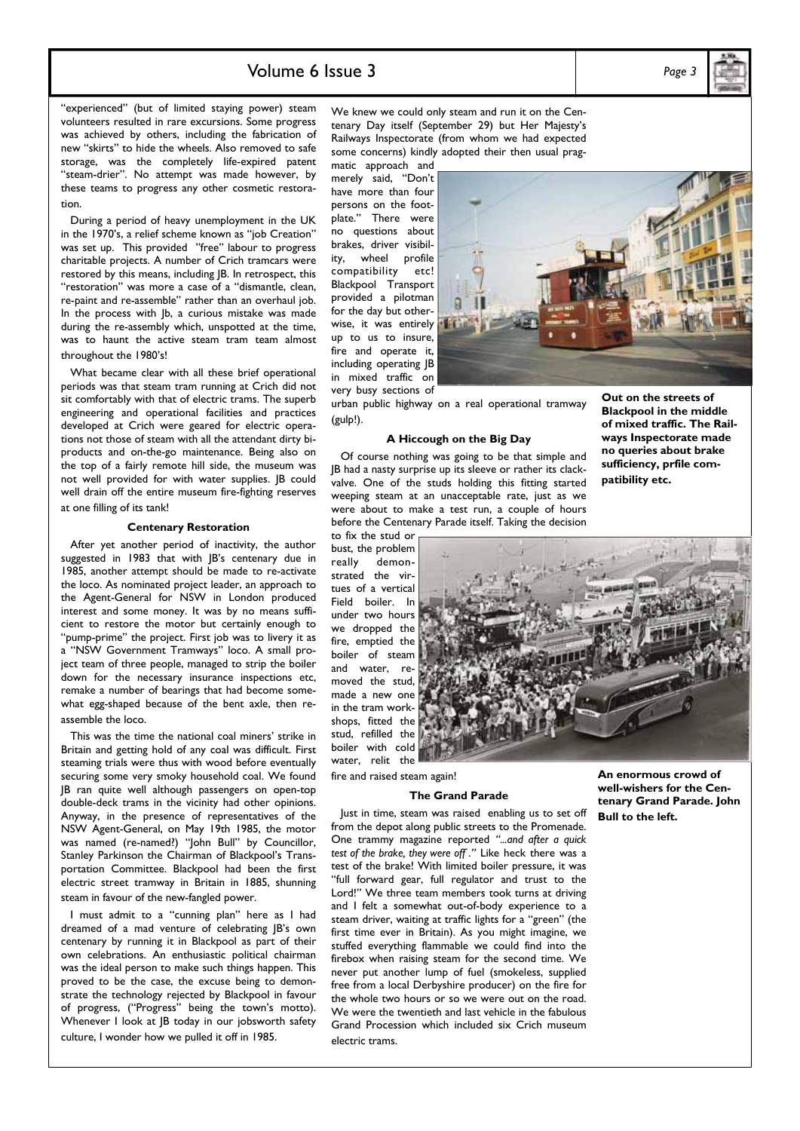### Volume 6 Issue 3 *Page 3*

"experienced" (but of limited staying power) steam volunteers resulted in rare excursions. Some progress was achieved by others, including the fabrication of new "skirts" to hide the wheels. Also removed to safe storage, was the completely life-expired patent "steam-drier". No attempt was made however, by these teams to progress any other cosmetic restoration.

 During a period of heavy unemployment in the UK in the 1970's, a relief scheme known as "job Creation" was set up. This provided "free" labour to progress charitable projects. A number of Crich tramcars were restored by this means, including JB. In retrospect, this "restoration" was more a case of a "dismantle, clean, re-paint and re-assemble" rather than an overhaul job. In the process with Jb, a curious mistake was made during the re-assembly which, unspotted at the time, was to haunt the active steam tram team almost throughout the 1980's!

 What became clear with all these brief operational periods was that steam tram running at Crich did not sit comfortably with that of electric trams. The superb engineering and operational facilities and practices developed at Crich were geared for electric operations not those of steam with all the attendant dirty biproducts and on-the-go maintenance. Being also on the top of a fairly remote hill side, the museum was not well provided for with water supplies. JB could well drain off the entire museum fire-fighting reserves at one filling of its tank!

#### **Centenary Restoration**

 After yet another period of inactivity, the author suggested in 1983 that with <sub>IB's</sub> centenary due in 1985, another attempt should be made to re-activate the loco. As nominated project leader, an approach to the Agent-General for NSW in London produced interest and some money. It was by no means sufficient to restore the motor but certainly enough to "pump-prime" the project. First job was to livery it as a "NSW Government Tramways" loco. A small project team of three people, managed to strip the boiler down for the necessary insurance inspections etc, remake a number of bearings that had become somewhat egg-shaped because of the bent axle, then reassemble the loco.

 This was the time the national coal miners' strike in Britain and getting hold of any coal was difficult. First steaming trials were thus with wood before eventually securing some very smoky household coal. We found JB ran quite well although passengers on open-top double-deck trams in the vicinity had other opinions. Anyway, in the presence of representatives of the NSW Agent-General, on May 19th 1985, the motor was named (re-named?) "John Bull" by Councillor, Stanley Parkinson the Chairman of Blackpool's Transportation Committee. Blackpool had been the first electric street tramway in Britain in 1885, shunning steam in favour of the new-fangled power.

 I must admit to a "cunning plan" here as I had dreamed of a mad venture of celebrating JB's own centenary by running it in Blackpool as part of their own celebrations. An enthusiastic political chairman was the ideal person to make such things happen. This proved to be the case, the excuse being to demonstrate the technology rejected by Blackpool in favour of progress, ("Progress" being the town's motto). Whenever I look at JB today in our jobsworth safety culture, I wonder how we pulled it off in 1985.

We knew we could only steam and run it on the Centenary Day itself (September 29) but Her Majesty's Railways Inspectorate (from whom we had expected some concerns) kindly adopted their then usual prag-

matic approach and merely said, "Don't have more than four persons on the footplate." There were no questions about brakes, driver visibility, wheel profile compatibility etc! Blackpool Transport provided a pilotman for the day but otherwise, it was entirely up to us to insure, fire and operate it, including operating JB in mixed traffic on very busy sections of

urban public highway on a real operational tramway (gulp!).

#### **A Hiccough on the Big Day**

 Of course nothing was going to be that simple and JB had a nasty surprise up its sleeve or rather its clackvalve. One of the studs holding this fitting started weeping steam at an unacceptable rate, just as we were about to make a test run, a couple of hours before the Centenary Parade itself. Taking the decision

to fix the stud or bust, the problem really demonstrated the virtues of a vertical Field boiler. In under two hours we dropped the fire, emptied the boiler of steam and water, removed the stud, made a new one in the tram workshops, fitted the stud, refilled the boiler with cold water, relit the



fire and raised steam again!

#### **The Grand Parade**

 Just in time, steam was raised enabling us to set off from the depot along public streets to the Promenade. One trammy magazine reported *"...and after a quick test of the brake, they were off ."* Like heck there was a test of the brake! With limited boiler pressure, it was "full forward gear, full regulator and trust to the Lord!" We three team members took turns at driving and I felt a somewhat out-of-body experience to a steam driver, waiting at traffic lights for a "green" (the first time ever in Britain). As you might imagine, we stuffed everything flammable we could find into the firebox when raising steam for the second time. We never put another lump of fuel (smokeless, supplied free from a local Derbyshire producer) on the fire for the whole two hours or so we were out on the road. We were the twentieth and last vehicle in the fabulous Grand Procession which included six Crich museum electric trams.

**An enormous crowd of well-wishers for the Centenary Grand Parade. John Bull to the left.** 

**no queries about brake sufficiency, prfile com-**

**patibility etc.** 

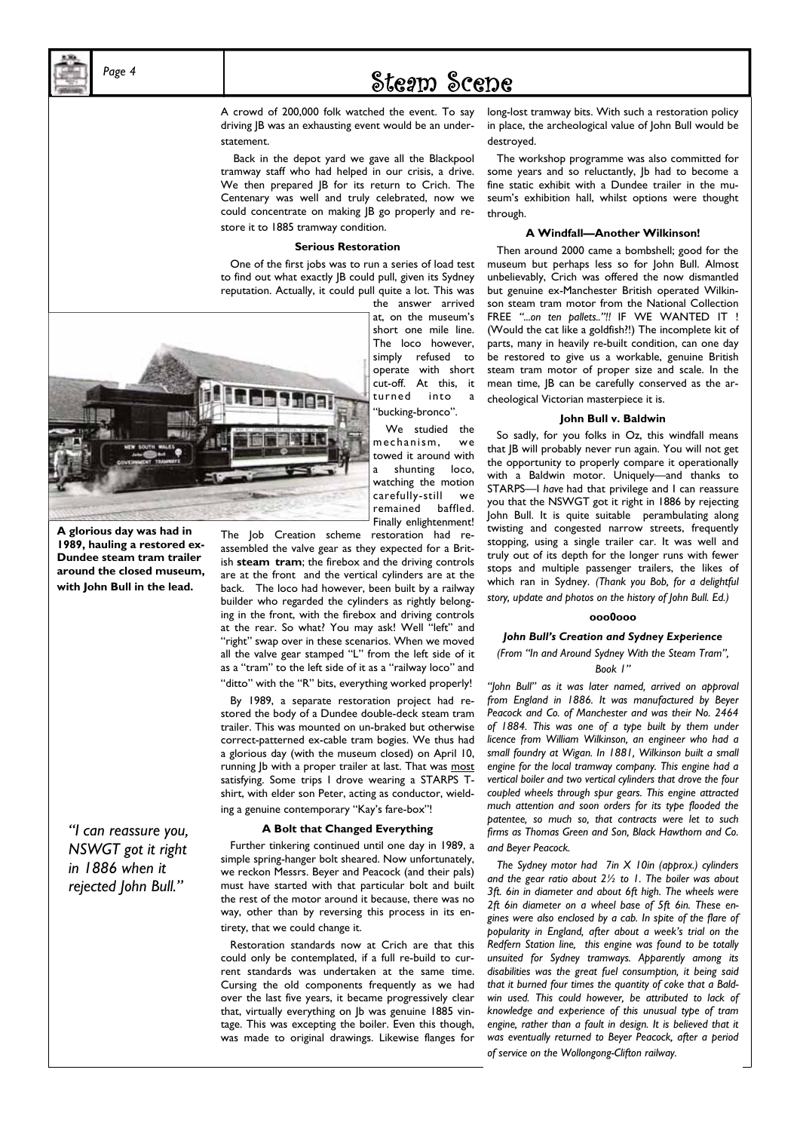

*Page 4* 

## Steam Scene

A crowd of 200,000 folk watched the event. To say driving JB was an exhausting event would be an understatement.

 Back in the depot yard we gave all the Blackpool tramway staff who had helped in our crisis, a drive. We then prepared JB for its return to Crich. The Centenary was well and truly celebrated, now we could concentrate on making JB go properly and restore it to 1885 tramway condition.

#### **Serious Restoration**

 One of the first jobs was to run a series of load test to find out what exactly JB could pull, given its Sydney reputation. Actually, it could pull quite a lot. This was

the answer arrived at, on the museum's short one mile line. The loco however, simply refused to operate with short cut-off. At this, it turned into "bucking-bronco".

 We studied the mechanism, we towed it around with a shunting loco, watching the motion carefully-still we remained baffled. Finally enlightenment!



**A glorious day was had in 1989, hauling a restored ex-Dundee steam tram trailer around the closed museum, with John Bull in the lead.** 

*"I can reassure you, NSWGT got it right in 1886 when it rejected John Bull."* 

The Job Creation scheme restoration had reassembled the valve gear as they expected for a British **steam tram**; the firebox and the driving controls are at the front and the vertical cylinders are at the back. The loco had however, been built by a railway builder who regarded the cylinders as rightly belonging in the front, with the firebox and driving controls at the rear. So what? You may ask! Well "left" and "right" swap over in these scenarios. When we moved all the valve gear stamped "L" from the left side of it as a "tram" to the left side of it as a "railway loco" and "ditto" with the "R" bits, everything worked properly!

 By 1989, a separate restoration project had restored the body of a Dundee double-deck steam tram trailer. This was mounted on un-braked but otherwise correct-patterned ex-cable tram bogies. We thus had a glorious day (with the museum closed) on April 10, running Jb with a proper trailer at last. That was most satisfying. Some trips I drove wearing a STARPS Tshirt, with elder son Peter, acting as conductor, wielding a genuine contemporary "Kay's fare-box"!

#### **A Bolt that Changed Everything**

 Further tinkering continued until one day in 1989, a simple spring-hanger bolt sheared. Now unfortunately, we reckon Messrs. Beyer and Peacock (and their pals) must have started with that particular bolt and built the rest of the motor around it because, there was no way, other than by reversing this process in its entirety, that we could change it.

 Restoration standards now at Crich are that this could only be contemplated, if a full re-build to current standards was undertaken at the same time. Cursing the old components frequently as we had over the last five years, it became progressively clear that, virtually everything on Jb was genuine 1885 vintage. This was excepting the boiler. Even this though, was made to original drawings. Likewise flanges for

long-lost tramway bits. With such a restoration policy in place, the archeological value of John Bull would be destroyed.

 The workshop programme was also committed for some years and so reluctantly, Jb had to become a fine static exhibit with a Dundee trailer in the museum's exhibition hall, whilst options were thought through.

#### **A Windfall—Another Wilkinson!**

 Then around 2000 came a bombshell; good for the museum but perhaps less so for John Bull. Almost unbelievably, Crich was offered the now dismantled but genuine ex-Manchester British operated Wilkinson steam tram motor from the National Collection FREE *"...on ten pallets.."!!* IF WE WANTED IT ! (Would the cat like a goldfish?!) The incomplete kit of parts, many in heavily re-built condition, can one day be restored to give us a workable, genuine British steam tram motor of proper size and scale. In the mean time, JB can be carefully conserved as the archeological Victorian masterpiece it is.

#### **John Bull v. Baldwin**

 So sadly, for you folks in Oz, this windfall means that JB will probably never run again. You will not get the opportunity to properly compare it operationally with a Baldwin motor. Uniquely—and thanks to STARPS—I *have* had that privilege and I can reassure you that the NSWGT got it right in 1886 by rejecting John Bull. It is quite suitable perambulating along twisting and congested narrow streets, frequently stopping, using a single trailer car. It was well and truly out of its depth for the longer runs with fewer stops and multiple passenger trailers, the likes of which ran in Sydney. *(Thank you Bob, for a delightful story, update and photos on the history of John Bull. Ed.)* 

#### **ooo0ooo**

#### *John Bull's Creation and Sydney Experience*

#### *(From "In and Around Sydney With the Steam Tram", Book 1"*

*"John Bull" as it was later named, arrived on approval from England in 1886. It was manufactured by Beyer Peacock and Co. of Manchester and was their No. 2464 of 1884. This was one of a type built by them under licence from William Wilkinson, an engineer who had a small foundry at Wigan. In 1881, Wilkinson built a small engine for the local tramway company. This engine had a vertical boiler and two vertical cylinders that drove the four coupled wheels through spur gears. This engine attracted much attention and soon orders for its type flooded the patentee, so much so, that contracts were let to such firms as Thomas Green and Son, Black Hawthorn and Co. and Beyer Peacock.* 

 *The Sydney motor had 7in X 10in (approx.) cylinders and the gear ratio about 2½ to 1. The boiler was about 3ft. 6in in diameter and about 6ft high. The wheels were 2ft 6in diameter on a wheel base of 5ft 6in. These engines were also enclosed by a cab. In spite of the flare of popularity in England, after about a week's trial on the Redfern Station line, this engine was found to be totally unsuited for Sydney tramways. Apparently among its disabilities was the great fuel consumption, it being said that it burned four times the quantity of coke that a Baldwin used. This could however, be attributed to lack of knowledge and experience of this unusual type of tram*  engine, rather than a fault in design. It is believed that it *was eventually returned to Beyer Peacock, after a period of service on the Wollongong-Clifton railway.*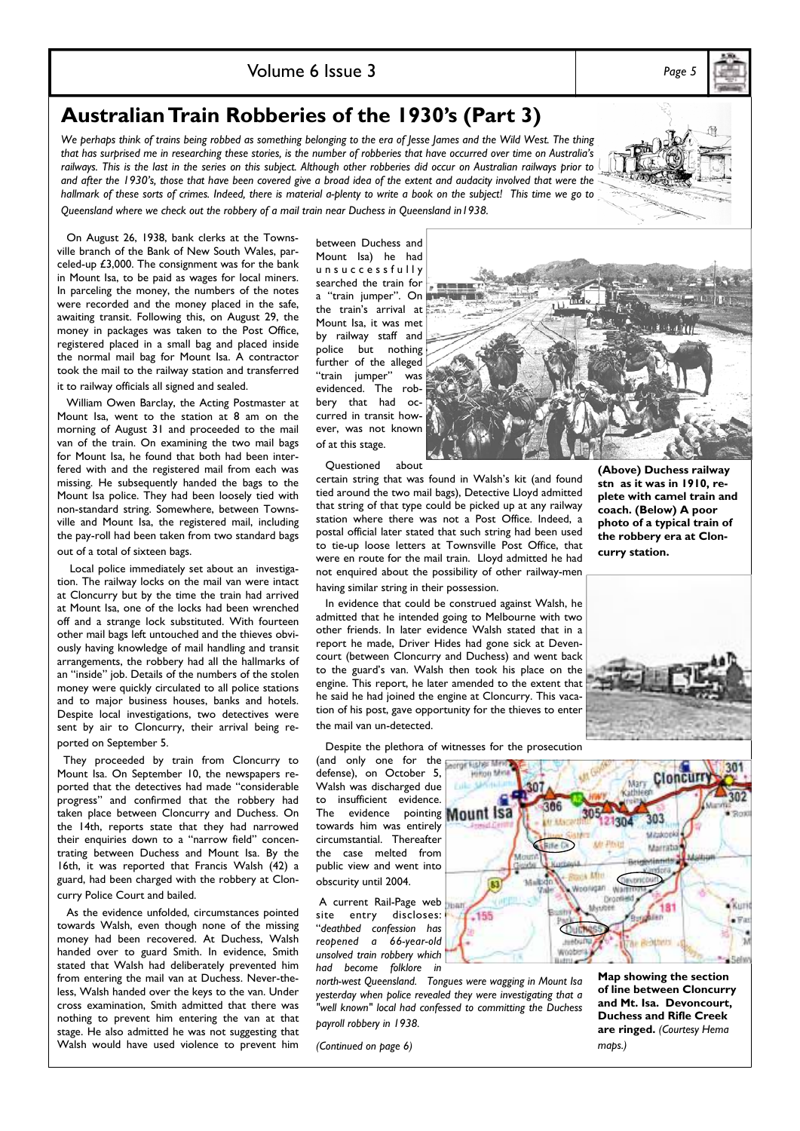### Volume 6 Issue 3 *Page 5*

**Australian Train Robberies of the 1930's (Part 3)** 

We perhaps think of trains being robbed as something belonging to the era of Jesse James and the Wild West. The thing *that has surprised me in researching these stories, is the number of robberies that have occurred over time on Australia's railways. This is the last in the series on this subject. Although other robberies did occur on Australian railways prior to and after the 1930's, those that have been covered give a broad idea of the extent and audacity involved that were the hallmark of these sorts of crimes. Indeed, there is material a-plenty to write a book on the subject! This time we go to Queensland where we check out the robbery of a mail train near Duchess in Queensland in1938.* 

 On August 26, 1938, bank clerks at the Townsville branch of the Bank of New South Wales, parceled-up £3,000. The consignment was for the bank in Mount Isa, to be paid as wages for local miners. In parceling the money, the numbers of the notes were recorded and the money placed in the safe, awaiting transit. Following this, on August 29, the money in packages was taken to the Post Office, registered placed in a small bag and placed inside the normal mail bag for Mount Isa. A contractor took the mail to the railway station and transferred it to railway officials all signed and sealed.

 William Owen Barclay, the Acting Postmaster at Mount Isa, went to the station at 8 am on the morning of August 31 and proceeded to the mail van of the train. On examining the two mail bags for Mount Isa, he found that both had been interfered with and the registered mail from each was missing. He subsequently handed the bags to the Mount Isa police. They had been loosely tied with non-standard string. Somewhere, between Townsville and Mount Isa, the registered mail, including the pay-roll had been taken from two standard bags out of a total of sixteen bags.

 Local police immediately set about an investigation. The railway locks on the mail van were intact at Cloncurry but by the time the train had arrived at Mount Isa, one of the locks had been wrenched off and a strange lock substituted. With fourteen other mail bags left untouched and the thieves obviously having knowledge of mail handling and transit arrangements, the robbery had all the hallmarks of an "inside" job. Details of the numbers of the stolen money were quickly circulated to all police stations and to major business houses, banks and hotels. Despite local investigations, two detectives were sent by air to Cloncurry, their arrival being reported on September 5.

 They proceeded by train from Cloncurry to Mount Isa. On September 10, the newspapers reported that the detectives had made "considerable progress" and confirmed that the robbery had taken place between Cloncurry and Duchess. On the 14th, reports state that they had narrowed their enquiries down to a "narrow field" concentrating between Duchess and Mount Isa. By the 16th, it was reported that Francis Walsh (42) a guard, had been charged with the robbery at Cloncurry Police Court and bailed.

 As the evidence unfolded, circumstances pointed towards Walsh, even though none of the missing money had been recovered. At Duchess, Walsh handed over to guard Smith. In evidence, Smith stated that Walsh had deliberately prevented him from entering the mail van at Duchess. Never-theless, Walsh handed over the keys to the van. Under cross examination, Smith admitted that there was nothing to prevent him entering the van at that stage. He also admitted he was not suggesting that Walsh would have used violence to prevent him

between Duchess and Mount Isa) he had unsuccessfully searched the train for a "train jumper". On the train's arrival at Mount Isa, it was met by railway staff and police but nothing further of the alleged "train jumper" was evidenced. The robbery that had occurred in transit however, was not known of at this stage.

**(Above) Duchess railway stn as it was in 1910, re-**

Questioned about

certain string that was found in Walsh's kit (and found tied around the two mail bags), Detective Lloyd admitted that string of that type could be picked up at any railway station where there was not a Post Office. Indeed, a postal official later stated that such string had been used to tie-up loose letters at Townsville Post Office, that were en route for the mail train. Lloyd admitted he had not enquired about the possibility of other railway-men having similar string in their possession.

 In evidence that could be construed against Walsh, he admitted that he intended going to Melbourne with two other friends. In later evidence Walsh stated that in a report he made, Driver Hides had gone sick at Devencourt (between Cloncurry and Duchess) and went back to the guard's van. Walsh then took his place on the engine. This report, he later amended to the extent that he said he had joined the engine at Cloncurry. This vacation of his post, gave opportunity for the thieves to enter the mail van un-detected.

Despite the plethora of witnesses for the prosecution

(and only one for the defense), on October 5, Walsh was discharged due to insufficient evidence. The evidence pointing **Mount Isa** towards him was entirely circumstantial. Thereafter the case melted from public view and went into obscurity until 2004.

 A current Rail-Page web site entry discloses: "*deathbed confession has reopened a 66-year-old unsolved train robbery which had become folklore in* 

*north-west Queensland. Tongues were wagging in Mount Isa yesterday when police revealed they were investigating that a "well known" local had confessed to committing the Duchess payroll robbery in 1938.* 

*(Continued on page 6)* 







**Map showing the section of line between Cloncurry and Mt. Isa. Devoncourt, Duchess and Rifle Creek are ringed.** *(Courtesy Hema maps.)*